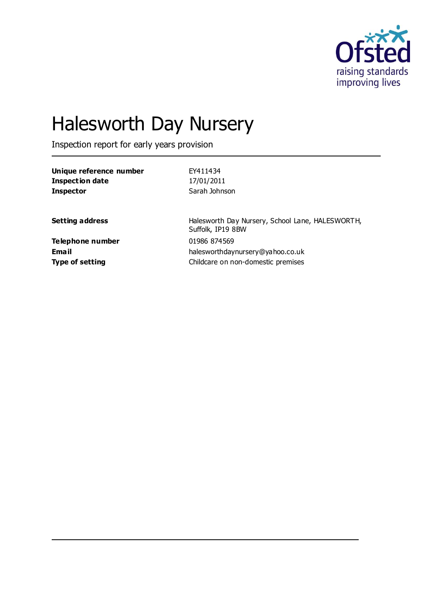

# Halesworth Day Nursery

Inspection report for early years provision

| Unique reference number | EY411434                |
|-------------------------|-------------------------|
| <b>Inspection date</b>  | 17/01/2011              |
| <b>Inspector</b>        | Sarah Johnson           |
| <b>Setting address</b>  | Halesworth Day Nursery, |

**Telephone number** 01986 874569

School Lane, HALESWORTH, Suffolk, IP19 8BW **Email** halesworthdaynursery@yahoo.co.uk **Type of setting Childcare on non-domestic premises**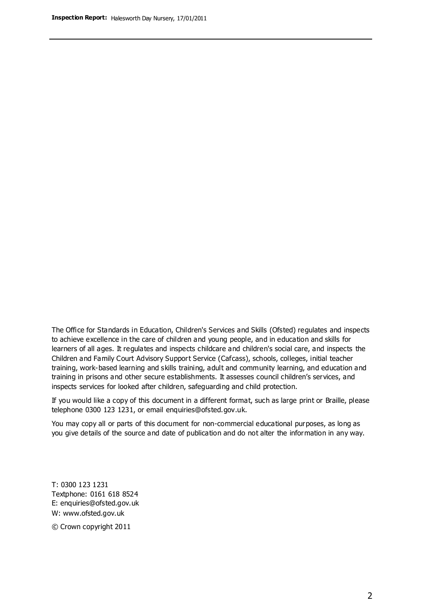The Office for Standards in Education, Children's Services and Skills (Ofsted) regulates and inspects to achieve excellence in the care of children and young people, and in education and skills for learners of all ages. It regulates and inspects childcare and children's social care, and inspects the Children and Family Court Advisory Support Service (Cafcass), schools, colleges, initial teacher training, work-based learning and skills training, adult and community learning, and education and training in prisons and other secure establishments. It assesses council children's services, and inspects services for looked after children, safeguarding and child protection.

If you would like a copy of this document in a different format, such as large print or Braille, please telephone 0300 123 1231, or email enquiries@ofsted.gov.uk.

You may copy all or parts of this document for non-commercial educational purposes, as long as you give details of the source and date of publication and do not alter the information in any way.

T: 0300 123 1231 Textphone: 0161 618 8524 E: enquiries@ofsted.gov.uk W: [www.ofsted.gov.uk](http://www.ofsted.gov.uk/)

© Crown copyright 2011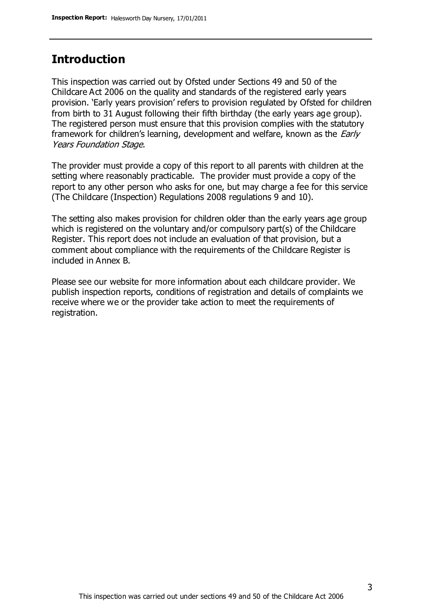## **Introduction**

This inspection was carried out by Ofsted under Sections 49 and 50 of the Childcare Act 2006 on the quality and standards of the registered early years provision. 'Early years provision' refers to provision regulated by Ofsted for children from birth to 31 August following their fifth birthday (the early years age group). The registered person must ensure that this provision complies with the statutory framework for children's learning, development and welfare, known as the *Early* Years Foundation Stage.

The provider must provide a copy of this report to all parents with children at the setting where reasonably practicable. The provider must provide a copy of the report to any other person who asks for one, but may charge a fee for this service (The Childcare (Inspection) Regulations 2008 regulations 9 and 10).

The setting also makes provision for children older than the early years age group which is registered on the voluntary and/or compulsory part(s) of the Childcare Register. This report does not include an evaluation of that provision, but a comment about compliance with the requirements of the Childcare Register is included in Annex B.

Please see our website for more information about each childcare provider. We publish inspection reports, conditions of registration and details of complaints we receive where we or the provider take action to meet the requirements of registration.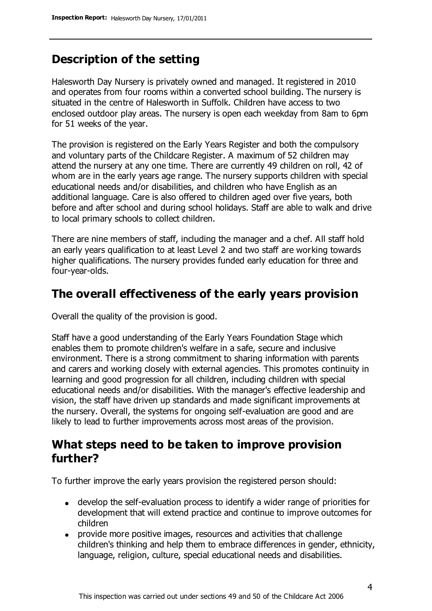# **Description of the setting**

Halesworth Day Nursery is privately owned and managed. It registered in 2010 and operates from four rooms within a converted school building. The nursery is situated in the centre of Halesworth in Suffolk. Children have access to two enclosed outdoor play areas. The nursery is open each weekday from 8am to 6pm for 51 weeks of the year.

The provision is registered on the Early Years Register and both the compulsory and voluntary parts of the Childcare Register. A maximum of 52 children may attend the nursery at any one time. There are currently 49 children on roll, 42 of whom are in the early years age range. The nursery supports children with special educational needs and/or disabilities, and children who have English as an additional language. Care is also offered to children aged over five years, both before and after school and during school holidays. Staff are able to walk and drive to local primary schools to collect children.

There are nine members of staff, including the manager and a chef. All staff hold an early years qualification to at least Level 2 and two staff are working towards higher qualifications. The nursery provides funded early education for three and four-year-olds.

## **The overall effectiveness of the early years provision**

Overall the quality of the provision is good.

Staff have a good understanding of the Early Years Foundation Stage which enables them to promote children's welfare in a safe, secure and inclusive environment. There is a strong commitment to sharing information with parents and carers and working closely with external agencies. This promotes continuity in learning and good progression for all children, including children with special educational needs and/or disabilities. With the manager's effective leadership and vision, the staff have driven up standards and made significant improvements at the nursery. Overall, the systems for ongoing self-evaluation are good and are likely to lead to further improvements across most areas of the provision.

## **What steps need to be taken to improve provision further?**

To further improve the early years provision the registered person should:

- develop the self-evaluation process to identify a wider range of priorities for development that will extend practice and continue to improve outcomes for children
- provide more positive images, resources and activities that challenge children's thinking and help them to embrace differences in gender, ethnicity, language, religion, culture, special educational needs and disabilities.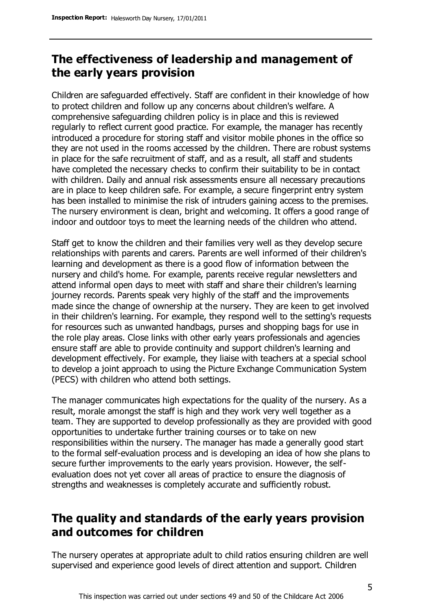# **The effectiveness of leadership and management of the early years provision**

Children are safeguarded effectively. Staff are confident in their knowledge of how to protect children and follow up any concerns about children's welfare. A comprehensive safeguarding children policy is in place and this is reviewed regularly to reflect current good practice. For example, the manager has recently introduced a procedure for storing staff and visitor mobile phones in the office so they are not used in the rooms accessed by the children. There are robust systems in place for the safe recruitment of staff, and as a result, all staff and students have completed the necessary checks to confirm their suitability to be in contact with children. Daily and annual risk assessments ensure all necessary precautions are in place to keep children safe. For example, a secure fingerprint entry system has been installed to minimise the risk of intruders gaining access to the premises. The nursery environment is clean, bright and welcoming. It offers a good range of indoor and outdoor toys to meet the learning needs of the children who attend.

Staff get to know the children and their families very well as they develop secure relationships with parents and carers. Parents are well informed of their children's learning and development as there is a good flow of information between the nursery and child's home. For example, parents receive regular newsletters and attend informal open days to meet with staff and share their children's learning journey records. Parents speak very highly of the staff and the improvements made since the change of ownership at the nursery. They are keen to get involved in their children's learning. For example, they respond well to the setting's requests for resources such as unwanted handbags, purses and shopping bags for use in the role play areas. Close links with other early years professionals and agencies ensure staff are able to provide continuity and support children's learning and development effectively. For example, they liaise with teachers at a special school to develop a joint approach to using the Picture Exchange Communication System (PECS) with children who attend both settings.

The manager communicates high expectations for the quality of the nursery. As a result, morale amongst the staff is high and they work very well together as a team. They are supported to develop professionally as they are provided with good opportunities to undertake further training courses or to take on new responsibilities within the nursery. The manager has made a generally good start to the formal self-evaluation process and is developing an idea of how she plans to secure further improvements to the early years provision. However, the selfevaluation does not yet cover all areas of practice to ensure the diagnosis of strengths and weaknesses is completely accurate and sufficiently robust.

# **The quality and standards of the early years provision and outcomes for children**

The nursery operates at appropriate adult to child ratios ensuring children are well supervised and experience good levels of direct attention and support. Children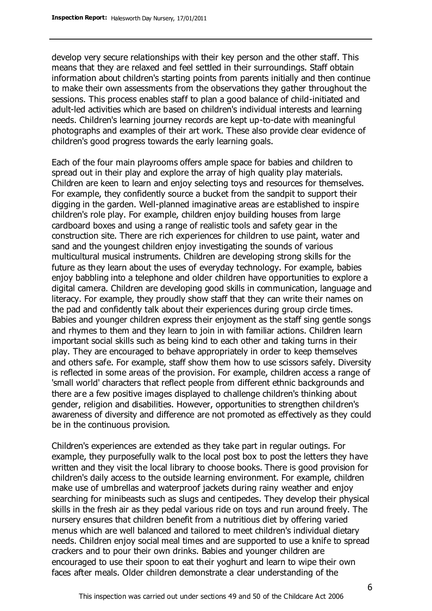develop very secure relationships with their key person and the other staff. This means that they are relaxed and feel settled in their surroundings. Staff obtain information about children's starting points from parents initially and then continue to make their own assessments from the observations they gather throughout the sessions. This process enables staff to plan a good balance of child-initiated and adult-led activities which are based on children's individual interests and learning needs. Children's learning journey records are kept up-to-date with meaningful photographs and examples of their art work. These also provide clear evidence of children's good progress towards the early learning goals.

Each of the four main playrooms offers ample space for babies and children to spread out in their play and explore the array of high quality play materials. Children are keen to learn and enjoy selecting toys and resources for themselves. For example, they confidently source a bucket from the sandpit to support their digging in the garden. Well-planned imaginative areas are established to inspire children's role play. For example, children enjoy building houses from large cardboard boxes and using a range of realistic tools and safety gear in the construction site. There are rich experiences for children to use paint, water and sand and the youngest children enjoy investigating the sounds of various multicultural musical instruments. Children are developing strong skills for the future as they learn about the uses of everyday technology. For example, babies enjoy babbling into a telephone and older children have opportunities to explore a digital camera. Children are developing good skills in communication, language and literacy. For example, they proudly show staff that they can write their names on the pad and confidently talk about their experiences during group circle times. Babies and younger children express their enjoyment as the staff sing gentle songs and rhymes to them and they learn to join in with familiar actions. Children learn important social skills such as being kind to each other and taking turns in their play. They are encouraged to behave appropriately in order to keep themselves and others safe. For example, staff show them how to use scissors safely. Diversity is reflected in some areas of the provision. For example, children access a range of 'small world' characters that reflect people from different ethnic backgrounds and there are a few positive images displayed to challenge children's thinking about gender, religion and disabilities. However, opportunities to strengthen children's awareness of diversity and difference are not promoted as effectively as they could be in the continuous provision.

Children's experiences are extended as they take part in regular outings. For example, they purposefully walk to the local post box to post the letters they have written and they visit the local library to choose books. There is good provision for children's daily access to the outside learning environment. For example, children make use of umbrellas and waterproof jackets during rainy weather and enjoy searching for minibeasts such as slugs and centipedes. They develop their physical skills in the fresh air as they pedal various ride on toys and run around freely. The nursery ensures that children benefit from a nutritious diet by offering varied menus which are well balanced and tailored to meet children's individual dietary needs. Children enjoy social meal times and are supported to use a knife to spread crackers and to pour their own drinks. Babies and younger children are encouraged to use their spoon to eat their yoghurt and learn to wipe their own faces after meals. Older children demonstrate a clear understanding of the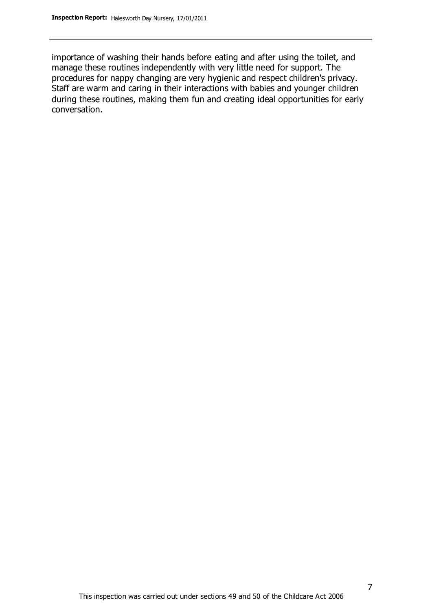importance of washing their hands before eating and after using the toilet, and manage these routines independently with very little need for support. The procedures for nappy changing are very hygienic and respect children's privacy. Staff are warm and caring in their interactions with babies and younger children during these routines, making them fun and creating ideal opportunities for early conversation.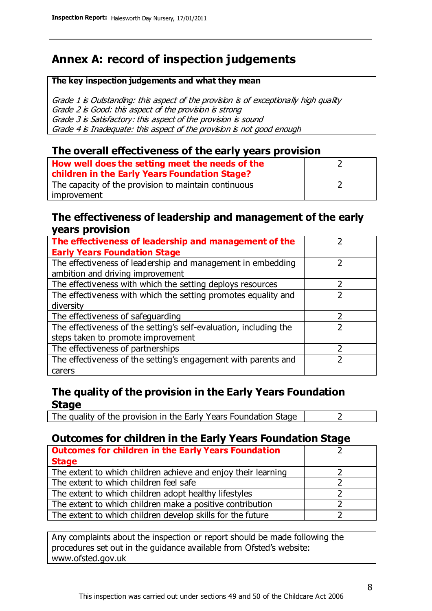# **Annex A: record of inspection judgements**

#### **The key inspection judgements and what they mean**

Grade 1 is Outstanding: this aspect of the provision is of exceptionally high quality Grade 2 is Good: this aspect of the provision is strong Grade 3 is Satisfactory: this aspect of the provision is sound Grade 4 is Inadequate: this aspect of the provision is not good enough

#### **The overall effectiveness of the early years provision**

| How well does the setting meet the needs of the      |  |
|------------------------------------------------------|--|
| children in the Early Years Foundation Stage?        |  |
| The capacity of the provision to maintain continuous |  |
| improvement                                          |  |

#### **The effectiveness of leadership and management of the early years provision**

| The effectiveness of leadership and management of the             |  |
|-------------------------------------------------------------------|--|
| <b>Early Years Foundation Stage</b>                               |  |
| The effectiveness of leadership and management in embedding       |  |
| ambition and driving improvement                                  |  |
| The effectiveness with which the setting deploys resources        |  |
| The effectiveness with which the setting promotes equality and    |  |
| diversity                                                         |  |
| The effectiveness of safeguarding                                 |  |
| The effectiveness of the setting's self-evaluation, including the |  |
| steps taken to promote improvement                                |  |
| The effectiveness of partnerships                                 |  |
| The effectiveness of the setting's engagement with parents and    |  |
| carers                                                            |  |

### **The quality of the provision in the Early Years Foundation Stage**

The quality of the provision in the Early Years Foundation Stage  $\vert$  2

## **Outcomes for children in the Early Years Foundation Stage**

| <b>Outcomes for children in the Early Years Foundation</b>    |  |
|---------------------------------------------------------------|--|
| <b>Stage</b>                                                  |  |
| The extent to which children achieve and enjoy their learning |  |
| The extent to which children feel safe                        |  |
| The extent to which children adopt healthy lifestyles         |  |
| The extent to which children make a positive contribution     |  |
| The extent to which children develop skills for the future    |  |

Any complaints about the inspection or report should be made following the procedures set out in the guidance available from Ofsted's website: www.ofsted.gov.uk